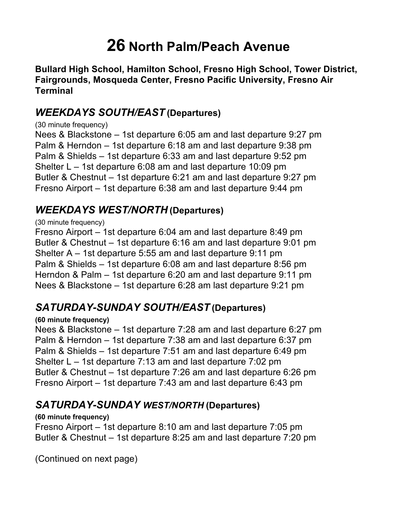# **26 North Palm/Peach Avenue**

 **Bullard High School, Hamilton School, Fresno High School, Tower District, Fairgrounds, Mosqueda Center, Fresno Pacific University, Fresno Air Terminal** 

# *WEEKDAYS SOUTH/EAST* **(Departures)**

(30 minute frequency)

 Nees & Blackstone – 1st departure 6:05 am and last departure 9:27 pm Palm & Herndon – 1st departure 6:18 am and last departure 9:38 pm Palm & Shields – 1st departure 6:33 am and last departure 9:52 pm Shelter L – 1st departure 6:08 am and last departure 10:09 pm Butler & Chestnut – 1st departure 6:21 am and last departure 9:27 pm Fresno Airport – 1st departure 6:38 am and last departure 9:44 pm

# *WEEKDAYS WEST/NORTH* **(Departures)**

### (30 minute frequency)

 Fresno Airport – 1st departure 6:04 am and last departure 8:49 pm Butler & Chestnut – 1st departure 6:16 am and last departure 9:01 pm Shelter A – 1st departure 5:55 am and last departure 9:11 pm Palm & Shields – 1st departure 6:08 am and last departure 8:56 pm Herndon & Palm – 1st departure 6:20 am and last departure 9:11 pm Nees & Blackstone – 1st departure 6:28 am last departure 9:21 pm

# *SATURDAY-SUNDAY SOUTH/EAST* **(Departures)**

### **(60 minute frequency)**

 Nees & Blackstone – 1st departure 7:28 am and last departure 6:27 pm Palm & Herndon – 1st departure 7:38 am and last departure 6:37 pm Palm & Shields – 1st departure 7:51 am and last departure 6:49 pm Shelter L – 1st departure 7:13 am and last departure 7:02 pm Butler & Chestnut – 1st departure 7:26 am and last departure 6:26 pm Fresno Airport – 1st departure 7:43 am and last departure 6:43 pm

### *SATURDAY-SUNDAY WEST/NORTH* **(Departures)**

#### **(60 minute frequency)**

 Fresno Airport – 1st departure 8:10 am and last departure 7:05 pm Butler & Chestnut – 1st departure 8:25 am and last departure 7:20 pm

(Continued on next page)